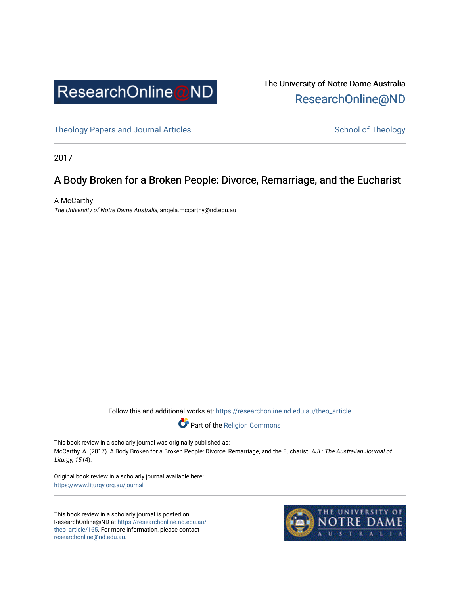

The University of Notre Dame Australia [ResearchOnline@ND](https://researchonline.nd.edu.au/) 

[Theology Papers and Journal Articles](https://researchonline.nd.edu.au/theo_article) and [School of Theology](https://researchonline.nd.edu.au/theo) School of Theology

2017

## A Body Broken for a Broken People: Divorce, Remarriage, and the Eucharist

A McCarthy The University of Notre Dame Australia, angela.mccarthy@nd.edu.au

Follow this and additional works at: [https://researchonline.nd.edu.au/theo\\_article](https://researchonline.nd.edu.au/theo_article?utm_source=researchonline.nd.edu.au%2Ftheo_article%2F165&utm_medium=PDF&utm_campaign=PDFCoverPages) 



This book review in a scholarly journal was originally published as: McCarthy, A. (2017). A Body Broken for a Broken People: Divorce, Remarriage, and the Eucharist. AJL: The Australian Journal of Liturgy, 15 (4).

Original book review in a scholarly journal available here: <https://www.liturgy.org.au/journal>

This book review in a scholarly journal is posted on ResearchOnline@ND at [https://researchonline.nd.edu.au/](https://researchonline.nd.edu.au/theo_article/165) [theo\\_article/165](https://researchonline.nd.edu.au/theo_article/165). For more information, please contact [researchonline@nd.edu.au.](mailto:researchonline@nd.edu.au)

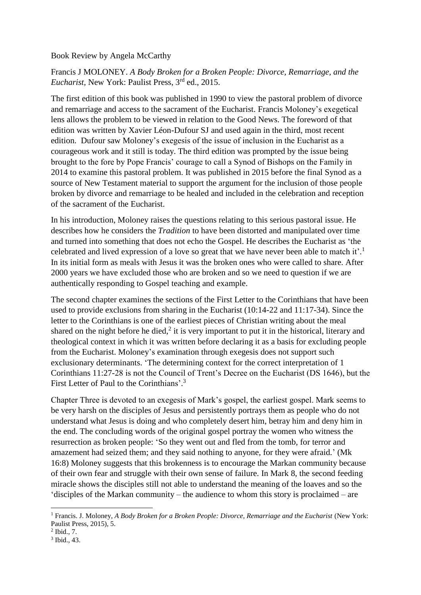Book Review by Angela McCarthy

Francis J MOLONEY. *A Body Broken for a Broken People: Divorce, Remarriage, and the Eucharist,* New York: Paulist Press, 3rd ed., 2015.

The first edition of this book was published in 1990 to view the pastoral problem of divorce and remarriage and access to the sacrament of the Eucharist. Francis Moloney's exegetical lens allows the problem to be viewed in relation to the Good News. The foreword of that edition was written by Xavier Léon-Dufour SJ and used again in the third, most recent edition. Dufour saw Moloney's exegesis of the issue of inclusion in the Eucharist as a courageous work and it still is today. The third edition was prompted by the issue being brought to the fore by Pope Francis' courage to call a Synod of Bishops on the Family in 2014 to examine this pastoral problem. It was published in 2015 before the final Synod as a source of New Testament material to support the argument for the inclusion of those people broken by divorce and remarriage to be healed and included in the celebration and reception of the sacrament of the Eucharist.

In his introduction, Moloney raises the questions relating to this serious pastoral issue. He describes how he considers the *Tradition* to have been distorted and manipulated over time and turned into something that does not echo the Gospel. He describes the Eucharist as 'the celebrated and lived expression of a love so great that we have never been able to match it'. 1 In its initial form as meals with Jesus it was the broken ones who were called to share. After 2000 years we have excluded those who are broken and so we need to question if we are authentically responding to Gospel teaching and example.

The second chapter examines the sections of the First Letter to the Corinthians that have been used to provide exclusions from sharing in the Eucharist (10:14-22 and 11:17-34). Since the letter to the Corinthians is one of the earliest pieces of Christian writing about the meal shared on the night before he died, $2$  it is very important to put it in the historical, literary and theological context in which it was written before declaring it as a basis for excluding people from the Eucharist. Moloney's examination through exegesis does not support such exclusionary determinants. 'The determining context for the correct interpretation of 1 Corinthians 11:27-28 is not the Council of Trent's Decree on the Eucharist (DS 1646), but the First Letter of Paul to the Corinthians'.<sup>3</sup>

Chapter Three is devoted to an exegesis of Mark's gospel, the earliest gospel. Mark seems to be very harsh on the disciples of Jesus and persistently portrays them as people who do not understand what Jesus is doing and who completely desert him, betray him and deny him in the end. The concluding words of the original gospel portray the women who witness the resurrection as broken people: 'So they went out and fled from the tomb, for terror and amazement had seized them; and they said nothing to anyone, for they were afraid.' (Mk 16:8) Moloney suggests that this brokenness is to encourage the Markan community because of their own fear and struggle with their own sense of failure. In Mark 8, the second feeding miracle shows the disciples still not able to understand the meaning of the loaves and so the 'disciples of the Markan community – the audience to whom this story is proclaimed – are

**.** 

<sup>&</sup>lt;sup>1</sup> Francis. J. Moloney, *A Body Broken for a Broken People: Divorce, Remarriage and the Eucharist* (New York: Paulist Press, 2015), 5.

<sup>2</sup> Ibid., 7.

<sup>3</sup> Ibid., 43.